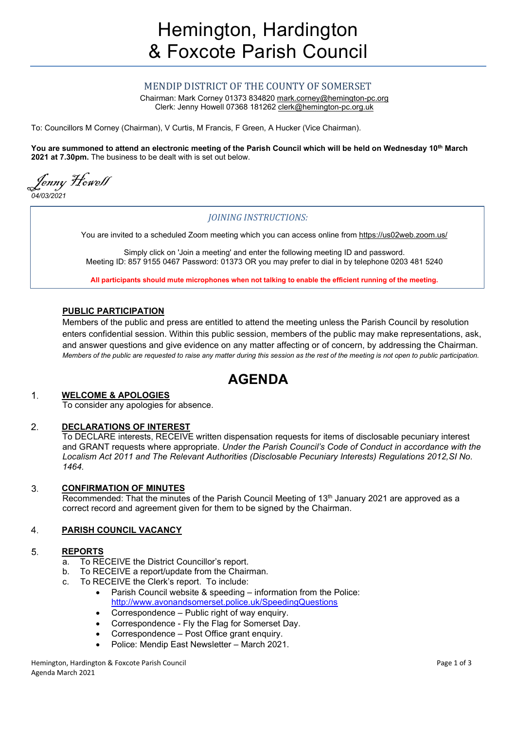## MENDIP DISTRICT OF THE COUNTY OF SOMERSET

Chairman: Mark Corney 01373 834820 mark.corney@hemington-pc.org Clerk: Jenny Howell 07368 181262 clerk@hemington-pc.org.uk

To: Councillors M Corney (Chairman), V Curtis, M Francis, F Green, A Hucker (Vice Chairman).

You are summoned to attend an electronic meeting of the Parish Council which will be held on Wednesday 10<sup>th</sup> March 2021 at 7.30pm. The business to be dealt with is set out below.

Jenny Howell 04/03/2021

## JOINING INSTRUCTIONS:

You are invited to a scheduled Zoom meeting which you can access online from https://us02web.zoom.us/

Simply click on 'Join a meeting' and enter the following meeting ID and password. Meeting ID: 857 9155 0467 Password: 01373 OR you may prefer to dial in by telephone 0203 481 5240

All participants should mute microphones when not talking to enable the efficient running of the meeting.

## PUBLIC PARTICIPATION

Members of the public and press are entitled to attend the meeting unless the Parish Council by resolution enters confidential session. Within this public session, members of the public may make representations, ask, and answer questions and give evidence on any matter affecting or of concern, by addressing the Chairman. Members of the public are requested to raise any matter during this session as the rest of the meeting is not open to public participation.

# AGENDA

#### WELCOME & APOLOGIES  $\mathbf 1$ .

To consider any apologies for absence.

#### DECLARATIONS OF INTEREST 2.

To DECLARE interests, RECEIVE written dispensation requests for items of disclosable pecuniary interest and GRANT requests where appropriate. Under the Parish Council's Code of Conduct in accordance with the Localism Act 2011 and The Relevant Authorities (Disclosable Pecuniary Interests) Regulations 2012,SI No. 1464.

#### CONFIRMATION OF MINUTES 3.

Recommended: That the minutes of the Parish Council Meeting of 13<sup>th</sup> January 2021 are approved as a correct record and agreement given for them to be signed by the Chairman.

#### $\overline{4}$ . PARISH COUNCIL VACANCY

#### REPORTS 5.

- a. To RECEIVE the District Councillor's report.
- b. To RECEIVE a report/update from the Chairman.
- c. To RECEIVE the Clerk's report. To include:
	- Parish Council website & speeding information from the Police: http://www.avonandsomerset.police.uk/SpeedingQuestions
	- Correspondence Public right of way enquiry.
	- Correspondence Fly the Flag for Somerset Day.
	- Correspondence Post Office grant enquiry.
	- Police: Mendip East Newsletter March 2021.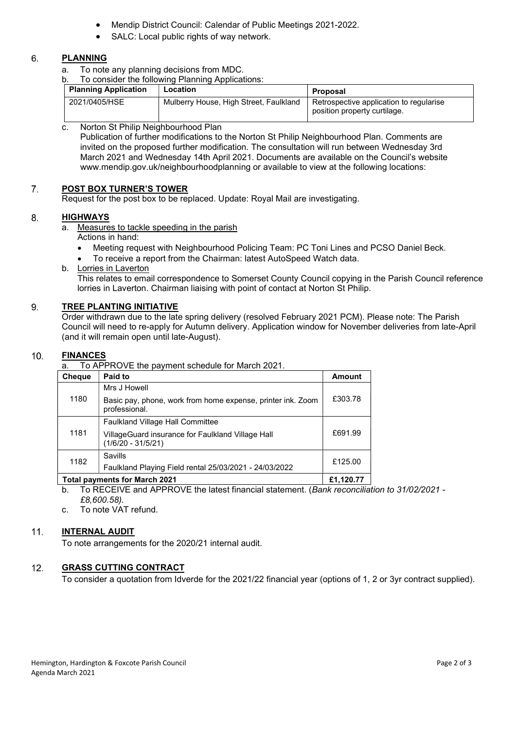- Mendip District Council: Calendar of Public Meetings 2021-2022.
- SALC: Local public rights of way network.

#### 6. PLANNING

- a. To note any planning decisions from MDC.
- b. To consider the following Planning Applications:

| <b>Planning Application</b> | Location                               | Proposal                                                                |
|-----------------------------|----------------------------------------|-------------------------------------------------------------------------|
| 2021/0405/HSE               | Mulberry House, High Street, Faulkland | Retrospective application to regularise<br>position property curtilage. |

c. Norton St Philip Neighbourhood Plan

Publication of further modifications to the Norton St Philip Neighbourhood Plan. Comments are invited on the proposed further modification. The consultation will run between Wednesday 3rd March 2021 and Wednesday 14th April 2021. Documents are available on the Council's website www.mendip.gov.uk/neighbourhoodplanning or available to view at the following locations:

#### $7.$ POST BOX TURNER'S TOWER

Request for the post box to be replaced. Update: Royal Mail are investigating.

#### $\mathsf{R}$ **HIGHWAYS**

- a. Measures to tackle speeding in the parish Actions in hand:
	- Meeting request with Neighbourhood Policing Team: PC Toni Lines and PCSO Daniel Beck.
	- To receive a report from the Chairman: latest AutoSpeed Watch data.
- b. Lorries in Laverton

This relates to email correspondence to Somerset County Council copying in the Parish Council reference lorries in Laverton. Chairman liaising with point of contact at Norton St Philip.

#### 9. TREE PLANTING INITIATIVE

Order withdrawn due to the late spring delivery (resolved February 2021 PCM). Please note: The Parish Council will need to re-apply for Autumn delivery. Application window for November deliveries from late-April (and it will remain open until late-August).

#### $10.$ **FINANCES**

a. To APPROVE the payment schedule for March 2021.

| <b>Cheque</b> | Paid to                                                                      | <b>Amount</b> |
|---------------|------------------------------------------------------------------------------|---------------|
| 1180          | Mrs J Howell                                                                 |               |
|               | Basic pay, phone, work from home expense, printer ink. Zoom<br>professional. | £303.78       |
| 1181          | <b>Faulkland Village Hall Committee</b>                                      |               |
|               | VillageGuard insurance for Faulkland Village Hall<br>$(1/6/20 - 31/5/21)$    | £691.99       |
| 1182          | Savills                                                                      | £125.00       |
|               | Faulkland Playing Field rental 25/03/2021 - 24/03/2022                       |               |
|               | . .                                                                          |               |

## Total payments for March 2021 **Example 2021** E1,120.77 **E**

b. To RECEIVE and APPROVE the latest financial statement. (Bank reconciliation to 31/02/2021 - £8,600.58).

c. To note VAT refund.

#### $11.$ INTERNAL AUDIT

To note arrangements for the 2020/21 internal audit.

#### $12.$ GRASS CUTTING CONTRACT

To consider a quotation from Idverde for the 2021/22 financial year (options of 1, 2 or 3yr contract supplied).